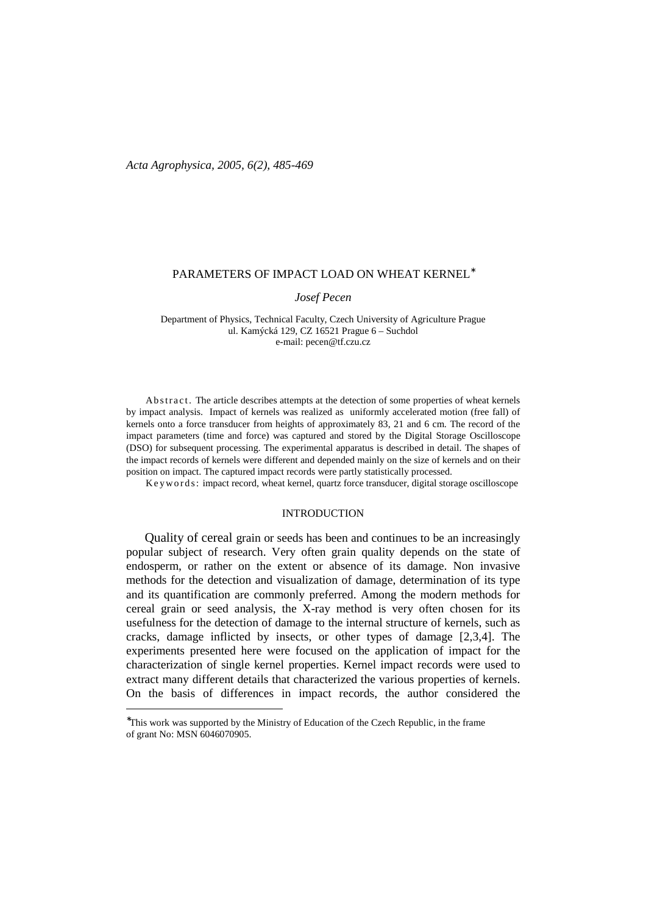*Acta Agrophysica, 2005, 6(2), 485-469*

### PARAMETERS OF IMPACT LOAD ON WHEAT KERNEL<sup>\*</sup>

*Josef Pecen* 

Department of Physics, Technical Faculty, Czech University of Agriculture Prague ul. Kamýcká 129, CZ 16521 Prague 6 – Suchdol e-mail: pecen@tf.czu.cz

Ab stract. The article describes attempts at the detection of some properties of wheat kernels by impact analysis. Impact of kernels was realized as uniformly accelerated motion (free fall) of kernels onto a force transducer from heights of approximately 83, 21 and 6 cm. The record of the impact parameters (time and force) was captured and stored by the Digital Storage Oscilloscope (DSO) for subsequent processing. The experimental apparatus is described in detail. The shapes of the impact records of kernels were different and depended mainly on the size of kernels and on their position on impact. The captured impact records were partly statistically processed.

Keywords: impact record, wheat kernel, quartz force transducer, digital storage oscilloscope

## INTRODUCTION

 Quality of cereal grain or seeds has been and continues to be an increasingly popular subject of research. Very often grain quality depends on the state of endosperm, or rather on the extent or absence of its damage. Non invasive methods for the detection and visualization of damage, determination of its type and its quantification are commonly preferred. Among the modern methods for cereal grain or seed analysis, the X-ray method is very often chosen for its usefulness for the detection of damage to the internal structure of kernels, such as cracks, damage inflicted by insects, or other types of damage [2,3,4]. The experiments presented here were focused on the application of impact for the characterization of single kernel properties. Kernel impact records were used to extract many different details that characterized the various properties of kernels. On the basis of differences in impact records, the author considered the

 $\overline{a}$ 

<sup>∗</sup> This work was supported by the Ministry of Education of the Czech Republic, in the frame of grant No: MSN 6046070905.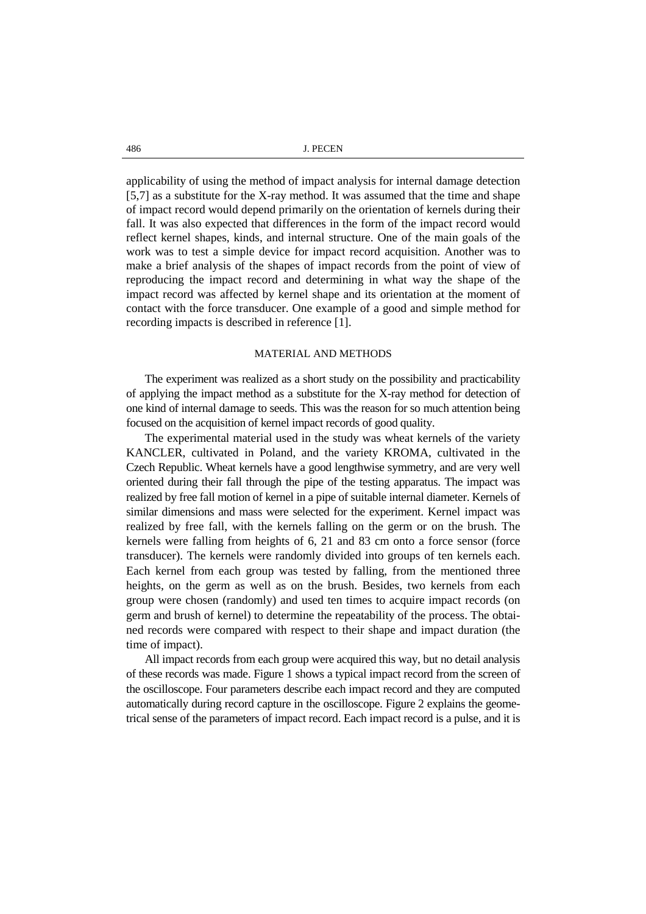486 J. PECEN

applicability of using the method of impact analysis for internal damage detection [5,7] as a substitute for the X-ray method. It was assumed that the time and shape of impact record would depend primarily on the orientation of kernels during their fall. It was also expected that differences in the form of the impact record would reflect kernel shapes, kinds, and internal structure. One of the main goals of the work was to test a simple device for impact record acquisition. Another was to make a brief analysis of the shapes of impact records from the point of view of reproducing the impact record and determining in what way the shape of the impact record was affected by kernel shape and its orientation at the moment of contact with the force transducer. One example of a good and simple method for recording impacts is described in reference [1].

### MATERIAL AND METHODS

The experiment was realized as a short study on the possibility and practicability of applying the impact method as a substitute for the X-ray method for detection of one kind of internal damage to seeds. This was the reason for so much attention being focused on the acquisition of kernel impact records of good quality.

 The experimental material used in the study was wheat kernels of the variety KANCLER, cultivated in Poland, and the variety KROMA, cultivated in the Czech Republic. Wheat kernels have a good lengthwise symmetry, and are very well oriented during their fall through the pipe of the testing apparatus. The impact was realized by free fall motion of kernel in a pipe of suitable internal diameter. Kernels of similar dimensions and mass were selected for the experiment. Kernel impact was realized by free fall, with the kernels falling on the germ or on the brush. The kernels were falling from heights of 6, 21 and 83 cm onto a force sensor (force transducer). The kernels were randomly divided into groups of ten kernels each. Each kernel from each group was tested by falling, from the mentioned three heights, on the germ as well as on the brush. Besides, two kernels from each group were chosen (randomly) and used ten times to acquire impact records (on germ and brush of kernel) to determine the repeatability of the process. The obtained records were compared with respect to their shape and impact duration (the time of impact).

 All impact records from each group were acquired this way, but no detail analysis of these records was made. Figure 1 shows a typical impact record from the screen of the oscilloscope. Four parameters describe each impact record and they are computed automatically during record capture in the oscilloscope. Figure 2 explains the geometrical sense of the parameters of impact record. Each impact record is a pulse, and it is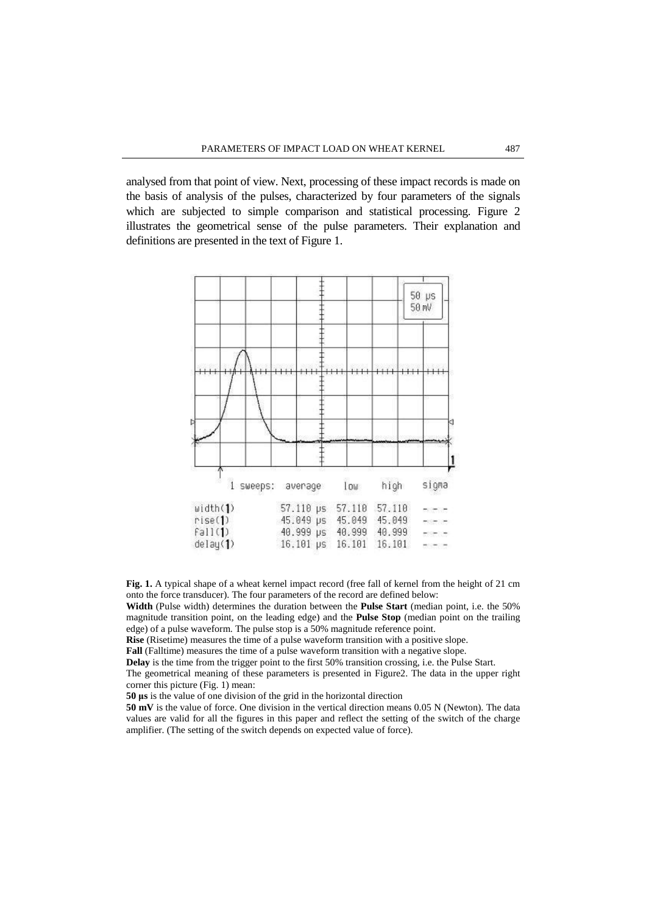analysed from that point of view. Next, processing of these impact records is made on the basis of analysis of the pulses, characterized by four parameters of the signals which are subjected to simple comparison and statistical processing. Figure 2 illustrates the geometrical sense of the pulse parameters. Their explanation and definitions are presented in the text of Figure 1.



**Fig. 1.** A typical shape of a wheat kernel impact record (free fall of kernel from the height of 21 cm onto the force transducer). The four parameters of the record are defined below:

**Width** (Pulse width) determines the duration between the **Pulse Start** (median point, i.e. the 50% magnitude transition point, on the leading edge) and the **Pulse Stop** (median point on the trailing edge) of a pulse waveform. The pulse stop is a 50% magnitude reference point.

**Rise** (Risetime) measures the time of a pulse waveform transition with a positive slope.

**Fall** (Falltime) measures the time of a pulse waveform transition with a negative slope.

**Delay** is the time from the trigger point to the first 50% transition crossing, i.e. the Pulse Start.

The geometrical meaning of these parameters is presented in Figure2. The data in the upper right corner this picture (Fig. 1) mean:

**50** µ**s** is the value of one division of the grid in the horizontal direction

**50 mV** is the value of force. One division in the vertical direction means 0.05 N (Newton). The data values are valid for all the figures in this paper and reflect the setting of the switch of the charge amplifier. (The setting of the switch depends on expected value of force).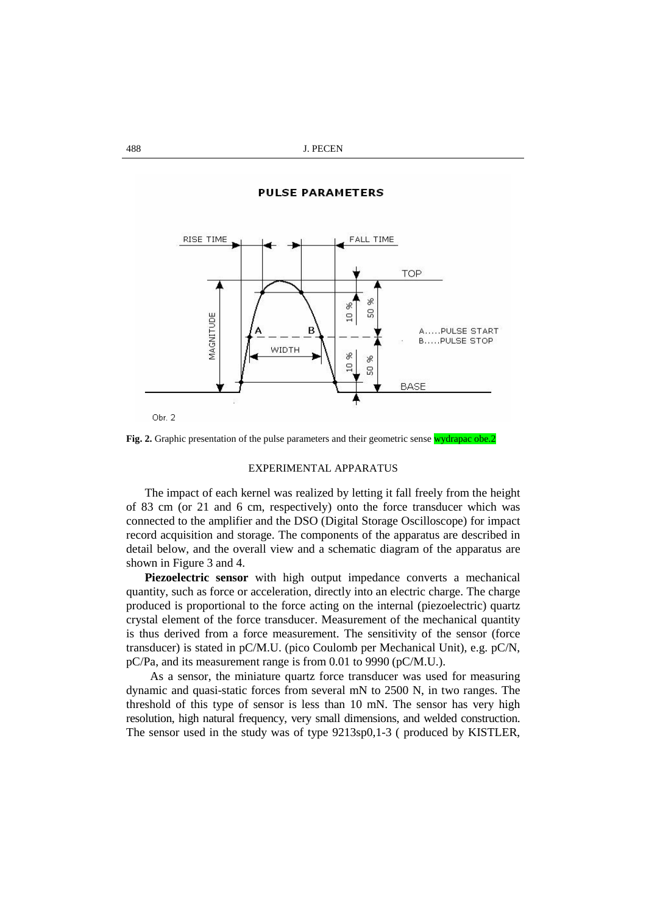**PULSE PARAMETERS** 



Fig. 2. Graphic presentation of the pulse parameters and their geometric sense wydrapac obe.2

# EXPERIMENTAL APPARATUS

 The impact of each kernel was realized by letting it fall freely from the height of 83 cm (or 21 and 6 cm, respectively) onto the force transducer which was connected to the amplifier and the DSO (Digital Storage Oscilloscope) for impact record acquisition and storage. The components of the apparatus are described in detail below, and the overall view and a schematic diagram of the apparatus are shown in Figure 3 and 4.

**Piezoelectric sensor** with high output impedance converts a mechanical quantity, such as force or acceleration, directly into an electric charge. The charge produced is proportional to the force acting on the internal (piezoelectric) quartz crystal element of the force transducer. Measurement of the mechanical quantity is thus derived from a force measurement. The sensitivity of the sensor (force transducer) is stated in pC/M.U. (pico Coulomb per Mechanical Unit), e.g. pC/N, pC/Pa, and its measurement range is from 0.01 to 9990 (pC/M.U.).

 As a sensor, the miniature quartz force transducer was used for measuring dynamic and quasi-static forces from several mN to 2500 N, in two ranges. The threshold of this type of sensor is less than 10 mN. The sensor has very high resolution, high natural frequency, very small dimensions, and welded construction. The sensor used in the study was of type 9213sp0,1-3 ( produced by KISTLER,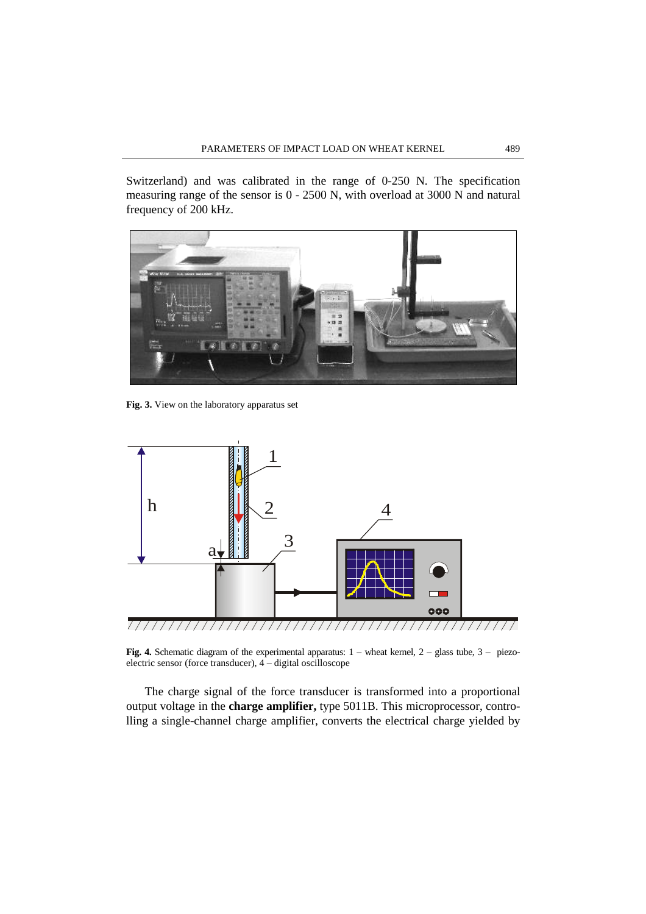Switzerland) and was calibrated in the range of 0-250 N. The specification measuring range of the sensor is 0 - 2500 N, with overload at 3000 N and natural frequency of 200 kHz.



**Fig. 3.** View on the laboratory apparatus set



**Fig. 4.** Schematic diagram of the experimental apparatus:  $1$  – wheat kernel,  $2$  – glass tube,  $3$  – piezoelectric sensor (force transducer), 4 – digital oscilloscope

 The charge signal of the force transducer is transformed into a proportional output voltage in the **charge amplifier,** type 5011B. This microprocessor, controlling a single-channel charge amplifier, converts the electrical charge yielded by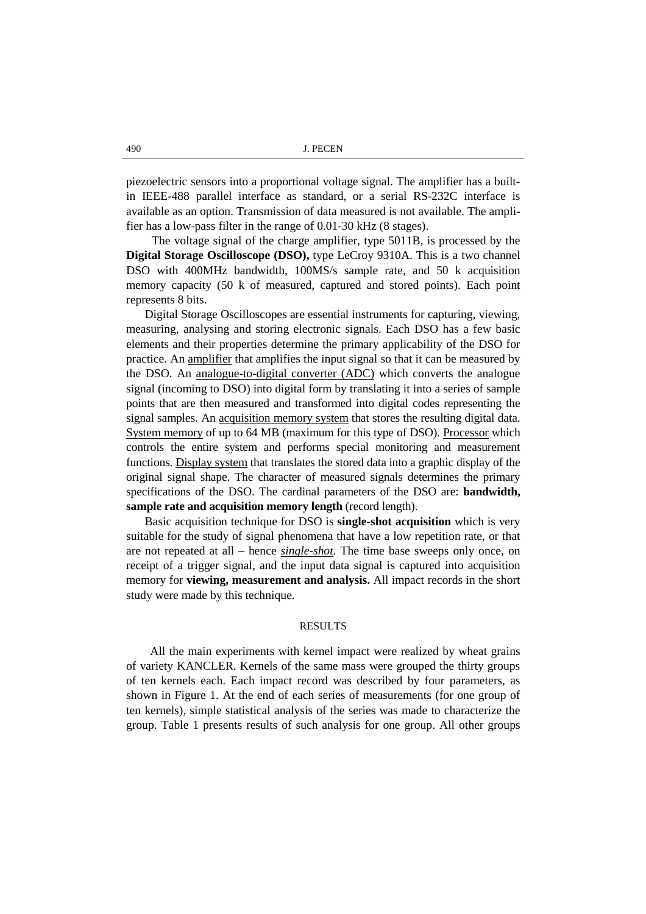piezoelectric sensors into a proportional voltage signal. The amplifier has a builtin IEEE-488 parallel interface as standard, or a serial RS-232C interface is available as an option. Transmission of data measured is not available. The amplifier has a low-pass filter in the range of 0.01-30 kHz (8 stages).

 The voltage signal of the charge amplifier, type 5011B, is processed by the **Digital Storage Oscilloscope (DSO),** type LeCroy 9310A. This is a two channel DSO with 400MHz bandwidth, 100MS/s sample rate, and 50 k acquisition memory capacity (50 k of measured, captured and stored points). Each point represents 8 bits.

 Digital Storage Oscilloscopes are essential instruments for capturing, viewing, measuring, analysing and storing electronic signals. Each DSO has a few basic elements and their properties determine the primary applicability of the DSO for practice. An amplifier that amplifies the input signal so that it can be measured by the DSO. An analogue-to-digital converter (ADC) which converts the analogue signal (incoming to DSO) into digital form by translating it into a series of sample points that are then measured and transformed into digital codes representing the signal samples. An acquisition memory system that stores the resulting digital data. System memory of up to 64 MB (maximum for this type of DSO). Processor which controls the entire system and performs special monitoring and measurement functions. Display system that translates the stored data into a graphic display of the original signal shape. The character of measured signals determines the primary specifications of the DSO. The cardinal parameters of the DSO are: **bandwidth, sample rate and acquisition memory length** (record length).

 Basic acquisition technique for DSO is **single-shot acquisition** which is very suitable for the study of signal phenomena that have a low repetition rate, or that are not repeated at all – hence *single-shot*. The time base sweeps only once, on receipt of a trigger signal, and the input data signal is captured into acquisition memory for **viewing, measurement and analysis.** All impact records in the short study were made by this technique.

## RESULTS

All the main experiments with kernel impact were realized by wheat grains of variety KANCLER. Kernels of the same mass were grouped the thirty groups of ten kernels each. Each impact record was described by four parameters, as shown in Figure 1. At the end of each series of measurements (for one group of ten kernels), simple statistical analysis of the series was made to characterize the group. Table 1 presents results of such analysis for one group. All other groups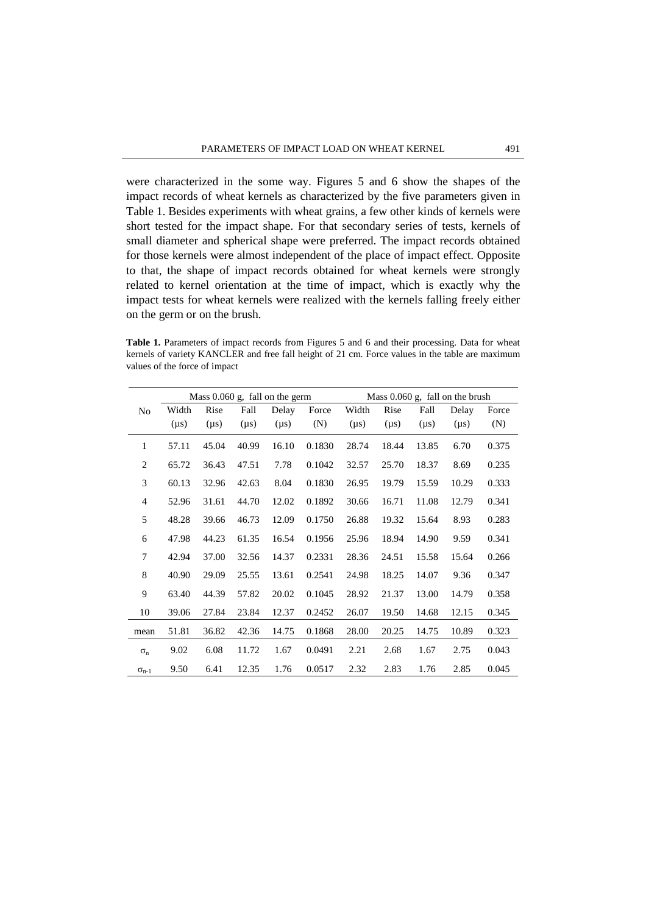were characterized in the some way. Figures 5 and 6 show the shapes of the impact records of wheat kernels as characterized by the five parameters given in Table 1. Besides experiments with wheat grains, a few other kinds of kernels were short tested for the impact shape. For that secondary series of tests, kernels of small diameter and spherical shape were preferred. The impact records obtained for those kernels were almost independent of the place of impact effect. Opposite to that, the shape of impact records obtained for wheat kernels were strongly related to kernel orientation at the time of impact, which is exactly why the impact tests for wheat kernels were realized with the kernels falling freely either on the germ or on the brush.

**Table 1.** Parameters of impact records from Figures 5 and 6 and their processing. Data for wheat kernels of variety KANCLER and free fall height of 21 cm. Force values in the table are maximum values of the force of impact

|                | Mass $0.060$ g, fall on the germ |           |           |           |        | Mass $0.060$ g, fall on the brush |           |           |           |       |
|----------------|----------------------------------|-----------|-----------|-----------|--------|-----------------------------------|-----------|-----------|-----------|-------|
| No             | Width                            | Rise      | Fall      | Delay     | Force  | Width                             | Rise      | Fall      | Delay     | Force |
|                | $(\mu s)$                        | $(\mu s)$ | $(\mu s)$ | $(\mu s)$ | (N)    | $(\mu s)$                         | $(\mu s)$ | $(\mu s)$ | $(\mu s)$ | (N)   |
| 1              | 57.11                            | 45.04     | 40.99     | 16.10     | 0.1830 | 28.74                             | 18.44     | 13.85     | 6.70      | 0.375 |
| 2              | 65.72                            | 36.43     | 47.51     | 7.78      | 0.1042 | 32.57                             | 25.70     | 18.37     | 8.69      | 0.235 |
| 3              | 60.13                            | 32.96     | 42.63     | 8.04      | 0.1830 | 26.95                             | 19.79     | 15.59     | 10.29     | 0.333 |
| 4              | 52.96                            | 31.61     | 44.70     | 12.02     | 0.1892 | 30.66                             | 16.71     | 11.08     | 12.79     | 0.341 |
| 5              | 48.28                            | 39.66     | 46.73     | 12.09     | 0.1750 | 26.88                             | 19.32     | 15.64     | 8.93      | 0.283 |
| 6              | 47.98                            | 44.23     | 61.35     | 16.54     | 0.1956 | 25.96                             | 18.94     | 14.90     | 9.59      | 0.341 |
| 7              | 42.94                            | 37.00     | 32.56     | 14.37     | 0.2331 | 28.36                             | 24.51     | 15.58     | 15.64     | 0.266 |
| 8              | 40.90                            | 29.09     | 25.55     | 13.61     | 0.2541 | 24.98                             | 18.25     | 14.07     | 9.36      | 0.347 |
| 9              | 63.40                            | 44.39     | 57.82     | 20.02     | 0.1045 | 28.92                             | 21.37     | 13.00     | 14.79     | 0.358 |
| 10             | 39.06                            | 27.84     | 23.84     | 12.37     | 0.2452 | 26.07                             | 19.50     | 14.68     | 12.15     | 0.345 |
| mean           | 51.81                            | 36.82     | 42.36     | 14.75     | 0.1868 | 28.00                             | 20.25     | 14.75     | 10.89     | 0.323 |
| $\sigma_{n}$   | 9.02                             | 6.08      | 11.72     | 1.67      | 0.0491 | 2.21                              | 2.68      | 1.67      | 2.75      | 0.043 |
| $\sigma_{n-1}$ | 9.50                             | 6.41      | 12.35     | 1.76      | 0.0517 | 2.32                              | 2.83      | 1.76      | 2.85      | 0.045 |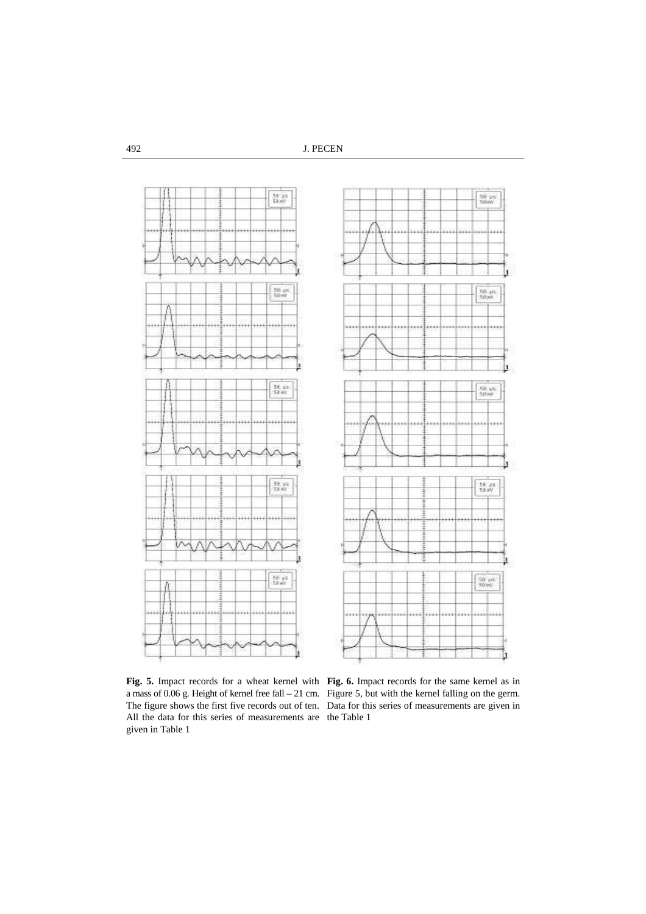492 J. PECEN



a mass of 0.06 g. Height of kernel free fall – 21 cm. Figure 5, but with the kernel falling on the germ. The figure shows the first five records out of ten. Data for this series of measurements are given in All the data for this series of measurements are the Table 1 given in Table 1

**Fig. 5.** Impact records for a wheat kernel with **Fig. 6.** Impact records for the same kernel as in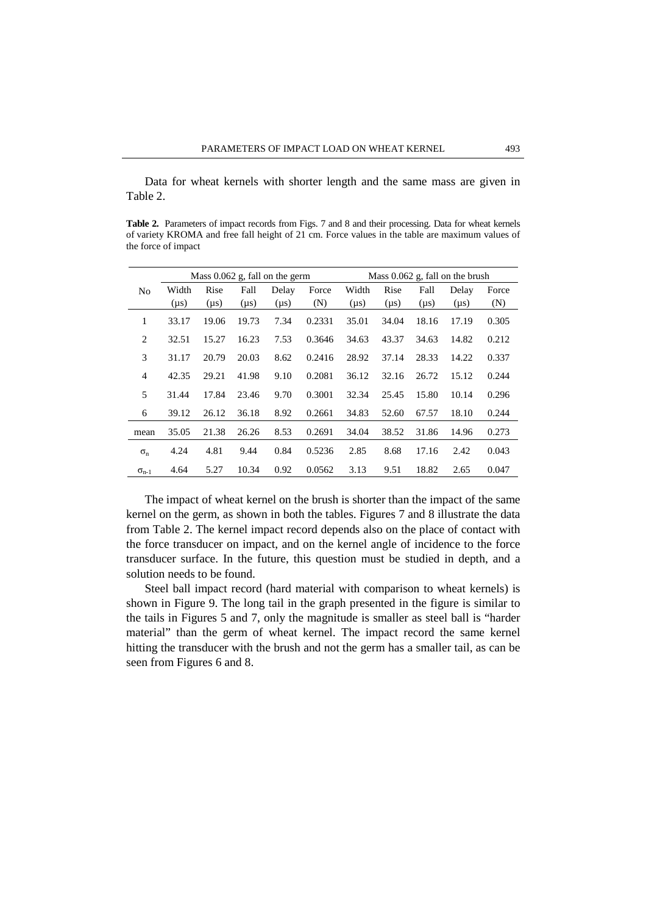Data for wheat kernels with shorter length and the same mass are given in Table 2.

**Table 2.** Parameters of impact records from Figs. 7 and 8 and their processing. Data for wheat kernels of variety KROMA and free fall height of 21 cm. Force values in the table are maximum values of the force of impact

|                | Mass $0.062$ g, fall on the germ |           |           |           |        | Mass $0.062$ g, fall on the brush |           |           |           |       |
|----------------|----------------------------------|-----------|-----------|-----------|--------|-----------------------------------|-----------|-----------|-----------|-------|
| N <sub>0</sub> | Width                            | Rise      | Fall      | Delay     | Force  | Width                             | Rise      | Fall      | Delay     | Force |
|                | $(\mu s)$                        | $(\mu s)$ | $(\mu s)$ | $(\mu s)$ | (N)    | $(\mu s)$                         | $(\mu s)$ | $(\mu s)$ | $(\mu s)$ | (N)   |
| 1              | 33.17                            | 19.06     | 19.73     | 7.34      | 0.2331 | 35.01                             | 34.04     | 18.16     | 17.19     | 0.305 |
| 2              | 32.51                            | 15.27     | 16.23     | 7.53      | 0.3646 | 34.63                             | 43.37     | 34.63     | 14.82     | 0.212 |
| 3              | 31.17                            | 20.79     | 20.03     | 8.62      | 0.2416 | 28.92                             | 37.14     | 28.33     | 14.22     | 0.337 |
| $\overline{4}$ | 42.35                            | 29.21     | 41.98     | 9.10      | 0.2081 | 36.12                             | 32.16     | 26.72     | 15.12     | 0.244 |
| 5              | 31.44                            | 17.84     | 23.46     | 9.70      | 0.3001 | 32.34                             | 25.45     | 15.80     | 10.14     | 0.296 |
| 6              | 39.12                            | 26.12     | 36.18     | 8.92      | 0.2661 | 34.83                             | 52.60     | 67.57     | 18.10     | 0.244 |
| mean           | 35.05                            | 21.38     | 26.26     | 8.53      | 0.2691 | 34.04                             | 38.52     | 31.86     | 14.96     | 0.273 |
| $\sigma_{n}$   | 4.24                             | 4.81      | 9.44      | 0.84      | 0.5236 | 2.85                              | 8.68      | 17.16     | 2.42      | 0.043 |
| $\sigma_{n-1}$ | 4.64                             | 5.27      | 10.34     | 0.92      | 0.0562 | 3.13                              | 9.51      | 18.82     | 2.65      | 0.047 |

 The impact of wheat kernel on the brush is shorter than the impact of the same kernel on the germ, as shown in both the tables. Figures 7 and 8 illustrate the data from Table 2. The kernel impact record depends also on the place of contact with the force transducer on impact, and on the kernel angle of incidence to the force transducer surface. In the future, this question must be studied in depth, and a solution needs to be found.

 Steel ball impact record (hard material with comparison to wheat kernels) is shown in Figure 9. The long tail in the graph presented in the figure is similar to the tails in Figures 5 and 7, only the magnitude is smaller as steel ball is "harder material" than the germ of wheat kernel. The impact record the same kernel hitting the transducer with the brush and not the germ has a smaller tail, as can be seen from Figures 6 and 8.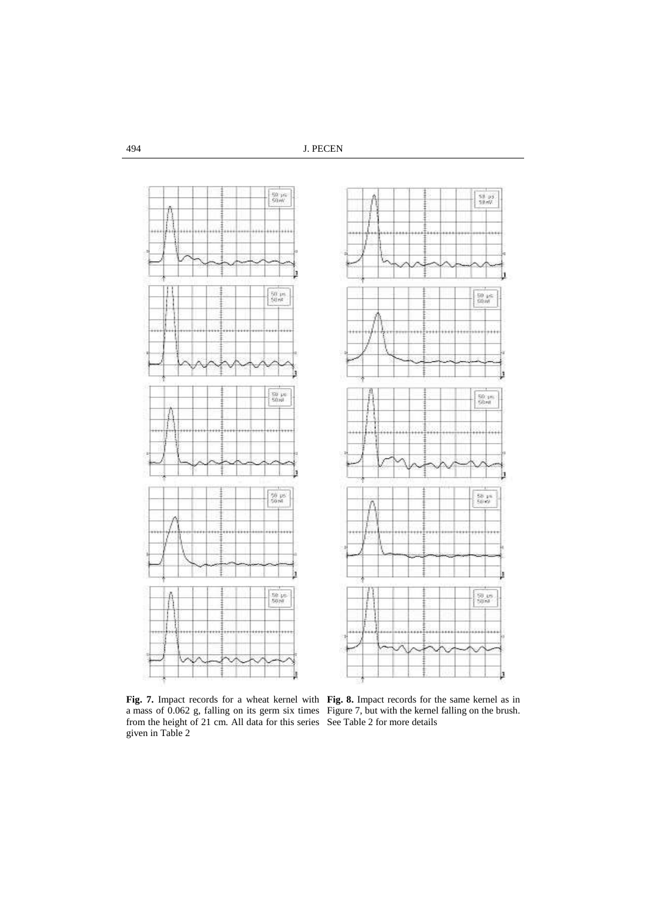494 J. PECEN



**Fig. 7.** Impact records for a wheat kernel with a mass of 0.062 g, falling on its germ six times from the height of 21 cm. All data for this series given in Table 2

**Fig. 8.** Impact records for the same kernel as in Figure 7, but with the kernel falling on the brush. See Table 2 for more details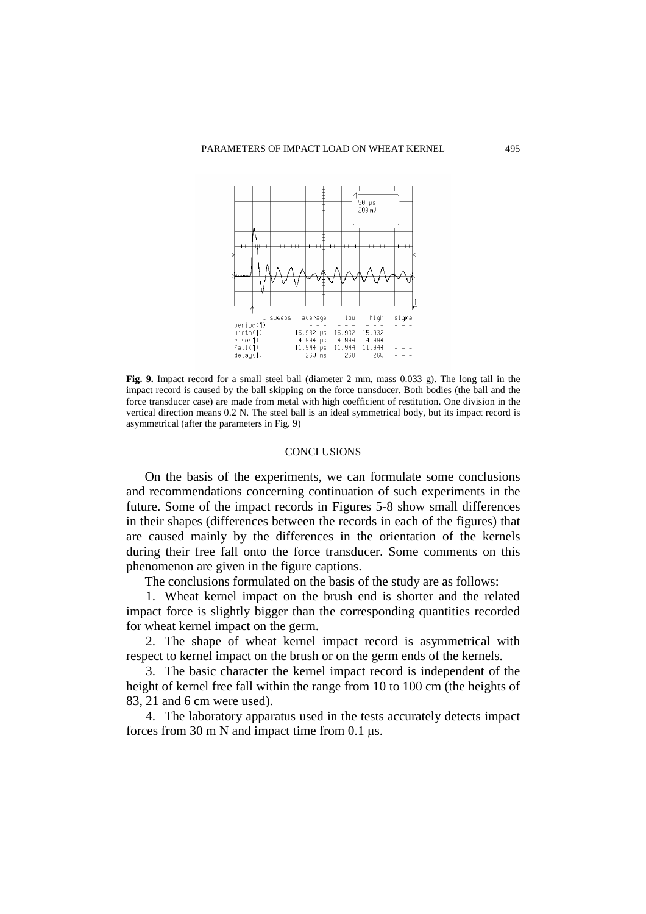

**Fig. 9.** Impact record for a small steel ball (diameter 2 mm, mass 0.033 g). The long tail in the impact record is caused by the ball skipping on the force transducer. Both bodies (the ball and the force transducer case) are made from metal with high coefficient of restitution. One division in the vertical direction means 0.2 N. The steel ball is an ideal symmetrical body, but its impact record is asymmetrical (after the parameters in Fig. 9)

## **CONCLUSIONS**

 On the basis of the experiments, we can formulate some conclusions and recommendations concerning continuation of such experiments in the future. Some of the impact records in Figures 5-8 show small differences in their shapes (differences between the records in each of the figures) that are caused mainly by the differences in the orientation of the kernels during their free fall onto the force transducer. Some comments on this phenomenon are given in the figure captions.

The conclusions formulated on the basis of the study are as follows:

1. Wheat kernel impact on the brush end is shorter and the related impact force is slightly bigger than the corresponding quantities recorded for wheat kernel impact on the germ.

2. The shape of wheat kernel impact record is asymmetrical with respect to kernel impact on the brush or on the germ ends of the kernels.

3. The basic character the kernel impact record is independent of the height of kernel free fall within the range from 10 to 100 cm (the heights of 83, 21 and 6 cm were used).

4. The laboratory apparatus used in the tests accurately detects impact forces from 30 m N and impact time from 0.1 µs.